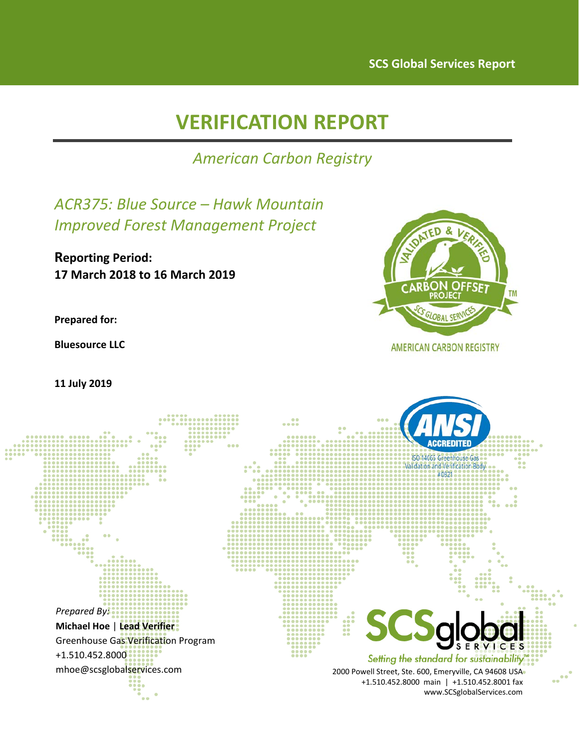# **VERIFICATION REPORT**

*American Carbon Registry*

*ACR375: Blue Source – Hawk Mountain Improved Forest Management Project*

**Reporting Period: 17 March 2018 to 16 March 2019**

**Prepared for:**

**Bluesource LLC**

**11 July 2019**



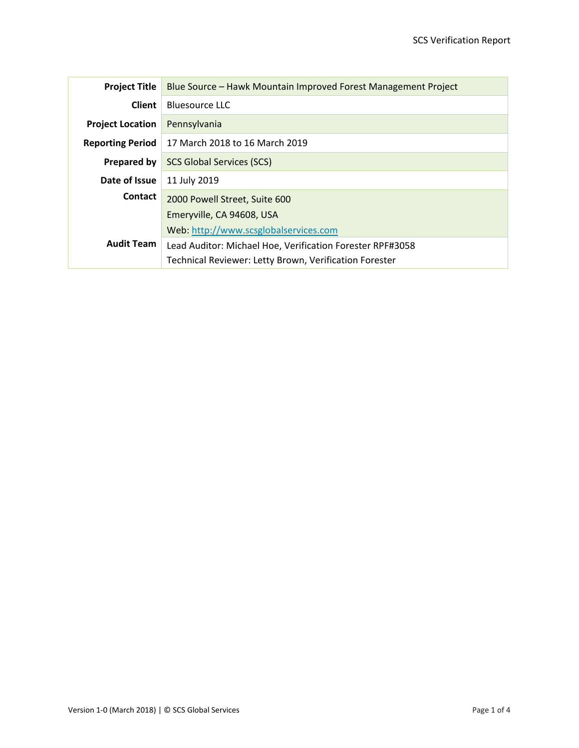| <b>Project Title</b>    | Blue Source - Hawk Mountain Improved Forest Management Project |  |
|-------------------------|----------------------------------------------------------------|--|
| Client                  | <b>Bluesource LLC</b>                                          |  |
| <b>Project Location</b> | Pennsylvania                                                   |  |
| <b>Reporting Period</b> | 17 March 2018 to 16 March 2019                                 |  |
| Prepared by             | <b>SCS Global Services (SCS)</b>                               |  |
| Date of Issue           | 11 July 2019                                                   |  |
| <b>Contact</b>          | 2000 Powell Street, Suite 600                                  |  |
|                         | Emeryville, CA 94608, USA                                      |  |
|                         | Web: http://www.scsglobalservices.com                          |  |
| <b>Audit Team</b>       | Lead Auditor: Michael Hoe, Verification Forester RPF#3058      |  |
|                         | Technical Reviewer: Letty Brown, Verification Forester         |  |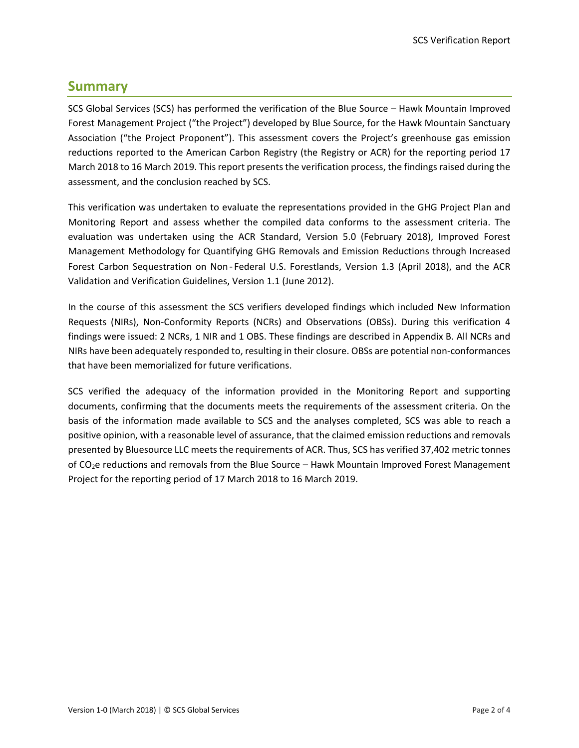# <span id="page-2-0"></span>**Summary**

SCS Global Services (SCS) has performed the verification of the Blue Source – Hawk Mountain Improved Forest Management Project ("the Project") developed by Blue Source, for the Hawk Mountain Sanctuary Association ("the Project Proponent"). This assessment covers the Project's greenhouse gas emission reductions reported to the American Carbon Registry (the Registry or ACR) for the reporting period 17 March 2018 to 16 March 2019. This report presents the verification process, the findings raised during the assessment, and the conclusion reached by SCS.

This verification was undertaken to evaluate the representations provided in the GHG Project Plan and Monitoring Report and assess whether the compiled data conforms to the assessment criteria. The evaluation was undertaken using the ACR Standard, Version 5.0 (February 2018), Improved Forest Management Methodology for Quantifying GHG Removals and Emission Reductions through Increased Forest Carbon Sequestration on Non‐Federal U.S. Forestlands, Version 1.3 (April 2018), and the ACR Validation and Verification Guidelines, Version 1.1 (June 2012).

In the course of this assessment the SCS verifiers developed findings which included New Information Requests (NIRs), Non-Conformity Reports (NCRs) and Observations (OBSs). During this verification 4 findings were issued: 2 NCRs, 1 NIR and 1 OBS. These findings are described in Appendix B. All NCRs and NIRs have been adequately responded to, resulting in their closure. OBSs are potential non-conformances that have been memorialized for future verifications.

SCS verified the adequacy of the information provided in the Monitoring Report and supporting documents, confirming that the documents meets the requirements of the assessment criteria. On the basis of the information made available to SCS and the analyses completed, SCS was able to reach a positive opinion, with a reasonable level of assurance, that the claimed emission reductions and removals presented by Bluesource LLC meets the requirements of ACR. Thus, SCS has verified 37,402 metric tonnes of CO<sub>2</sub>e reductions and removals from the Blue Source – Hawk Mountain Improved Forest Management Project for the reporting period of 17 March 2018 to 16 March 2019.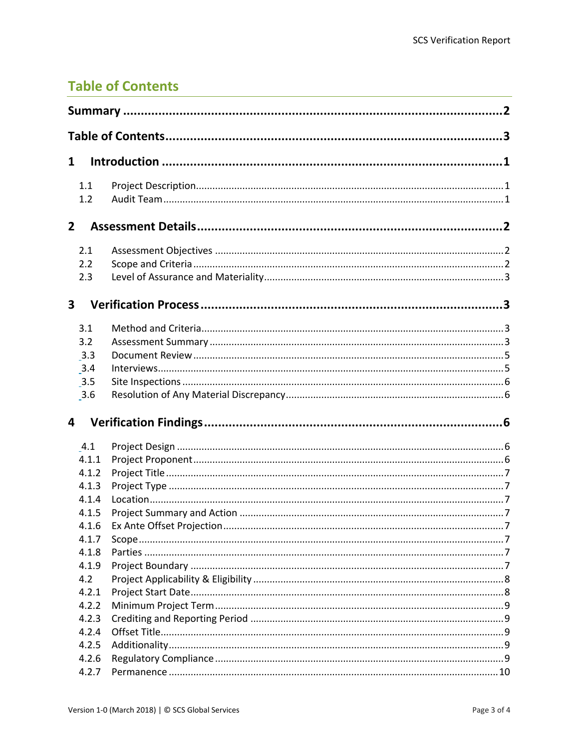# <span id="page-3-0"></span>**Table of Contents**

| $\mathbf{1}$                                                       |  |  |  |
|--------------------------------------------------------------------|--|--|--|
| 1.1<br>1.2                                                         |  |  |  |
| $\overline{2}$                                                     |  |  |  |
| 2.1<br>2.2<br>2.3                                                  |  |  |  |
| $\overline{\mathbf{3}}$                                            |  |  |  |
| 3.1<br>3.2<br>3.3<br>3.4<br>3.5<br>3.6                             |  |  |  |
| 4                                                                  |  |  |  |
| 4.1<br>4.1.1<br>4.1.2<br>4.1.3<br>4.1.4<br>4.1.5<br>4.1.6<br>4.1.7 |  |  |  |
| 4.1.8<br>4.1.9<br>4.2<br>4.2.1                                     |  |  |  |
| 4.2.2<br>4.2.3<br>4.2.4<br>4.2.5<br>4.2.6                          |  |  |  |
| 4.2.7                                                              |  |  |  |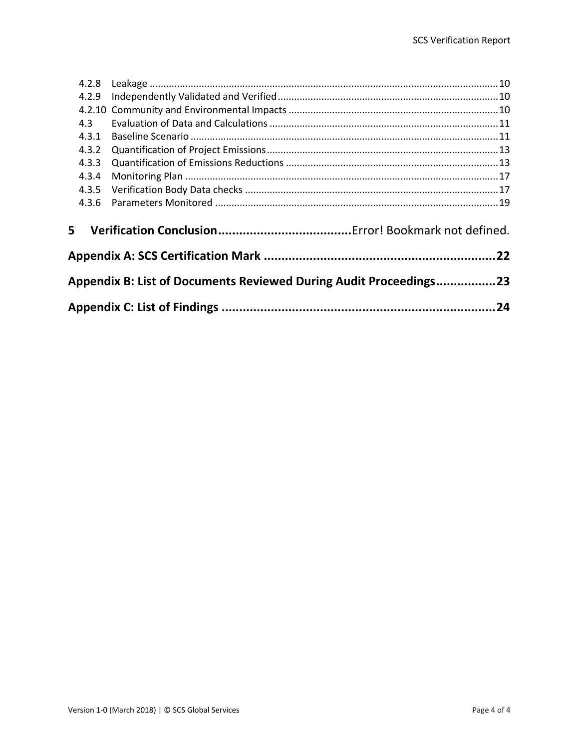| 4.2.9                                                             |  |  |
|-------------------------------------------------------------------|--|--|
|                                                                   |  |  |
| 4.3                                                               |  |  |
| 4.3.1                                                             |  |  |
| 4.3.2                                                             |  |  |
| 4.3.3                                                             |  |  |
| 4.3.4                                                             |  |  |
| 4.3.5                                                             |  |  |
| 4.3.6                                                             |  |  |
| 5                                                                 |  |  |
|                                                                   |  |  |
| Appendix B: List of Documents Reviewed During Audit Proceedings23 |  |  |
|                                                                   |  |  |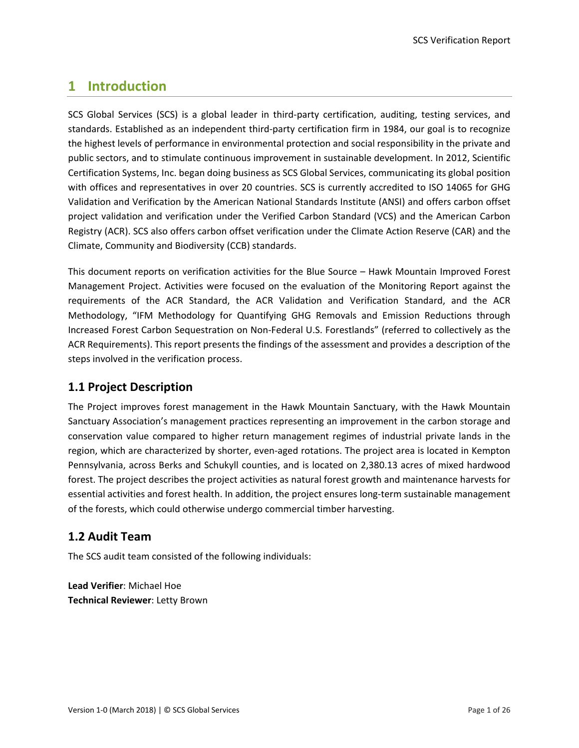# <span id="page-5-0"></span>**1 Introduction**

SCS Global Services (SCS) is a global leader in third-party certification, auditing, testing services, and standards. Established as an independent third-party certification firm in 1984, our goal is to recognize the highest levels of performance in environmental protection and social responsibility in the private and public sectors, and to stimulate continuous improvement in sustainable development. In 2012, Scientific Certification Systems, Inc. began doing business as SCS Global Services, communicating its global position with offices and representatives in over 20 countries. SCS is currently accredited to ISO 14065 for GHG Validation and Verification by the American National Standards Institute (ANSI) and offers carbon offset project validation and verification under the Verified Carbon Standard (VCS) and the American Carbon Registry (ACR). SCS also offers carbon offset verification under the Climate Action Reserve (CAR) and the Climate, Community and Biodiversity (CCB) standards.

This document reports on verification activities for the Blue Source – Hawk Mountain Improved Forest Management Project. Activities were focused on the evaluation of the Monitoring Report against the requirements of the ACR Standard, the ACR Validation and Verification Standard, and the ACR Methodology, "IFM Methodology for Quantifying GHG Removals and Emission Reductions through Increased Forest Carbon Sequestration on Non-Federal U.S. Forestlands" (referred to collectively as the ACR Requirements). This report presents the findings of the assessment and provides a description of the steps involved in the verification process.

# <span id="page-5-1"></span>**1.1 Project Description**

The Project improves forest management in the Hawk Mountain Sanctuary, with the Hawk Mountain Sanctuary Association's management practices representing an improvement in the carbon storage and conservation value compared to higher return management regimes of industrial private lands in the region, which are characterized by shorter, even-aged rotations. The project area is located in Kempton Pennsylvania, across Berks and Schukyll counties, and is located on 2,380.13 acres of mixed hardwood forest. The project describes the project activities as natural forest growth and maintenance harvests for essential activities and forest health. In addition, the project ensures long-term sustainable management of the forests, which could otherwise undergo commercial timber harvesting.

# <span id="page-5-2"></span>**1.2 Audit Team**

The SCS audit team consisted of the following individuals:

**Lead Verifier**: Michael Hoe **Technical Reviewer**: Letty Brown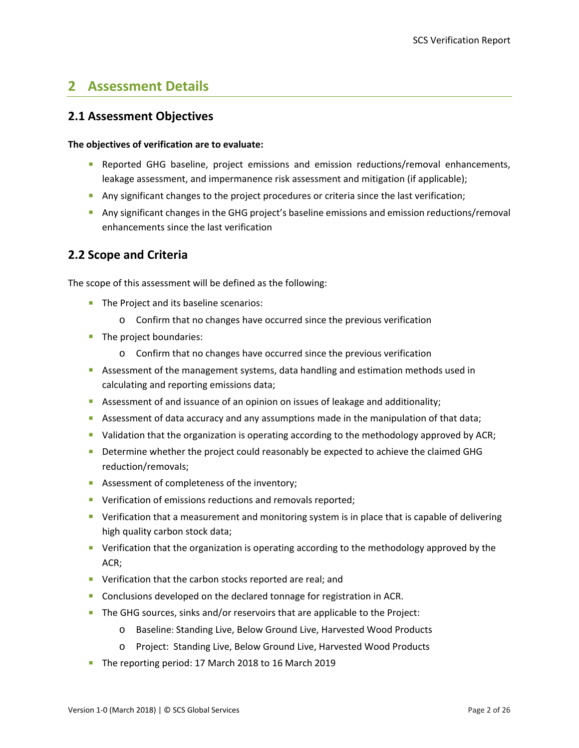# <span id="page-6-0"></span>**2 Assessment Details**

### <span id="page-6-1"></span>**2.1 Assessment Objectives**

#### **The objectives of verification are to evaluate:**

- **Reported GHG baseline, project emissions and emission reductions/removal enhancements,** leakage assessment, and impermanence risk assessment and mitigation (if applicable);
- Any significant changes to the project procedures or criteria since the last verification;
- Any significant changes in the GHG project's baseline emissions and emission reductions/removal enhancements since the last verification

### <span id="page-6-2"></span>**2.2 Scope and Criteria**

The scope of this assessment will be defined as the following:

- The Project and its baseline scenarios:
	- o Confirm that no changes have occurred since the previous verification
- The project boundaries:
	- o Confirm that no changes have occurred since the previous verification
- **Assessment of the management systems, data handling and estimation methods used in** calculating and reporting emissions data;
- Assessment of and issuance of an opinion on issues of leakage and additionality;
- Assessment of data accuracy and any assumptions made in the manipulation of that data;
- **•** Validation that the organization is operating according to the methodology approved by ACR;
- Determine whether the project could reasonably be expected to achieve the claimed GHG reduction/removaIs;
- Assessment of completeness of the inventory;
- **•** Verification of emissions reductions and removals reported;
- **•** Verification that a measurement and monitoring system is in place that is capable of delivering high quality carbon stock data;
- Verification that the organization is operating according to the methodology approved by the ACR;
- **•** Verification that the carbon stocks reported are real; and
- **Conclusions developed on the declared tonnage for registration in ACR.**
- The GHG sources, sinks and/or reservoirs that are applicable to the Project:
	- o Baseline: Standing Live, Below Ground Live, Harvested Wood Products
	- o Project: Standing Live, Below Ground Live, Harvested Wood Products
- The reporting period: 17 March 2018 to 16 March 2019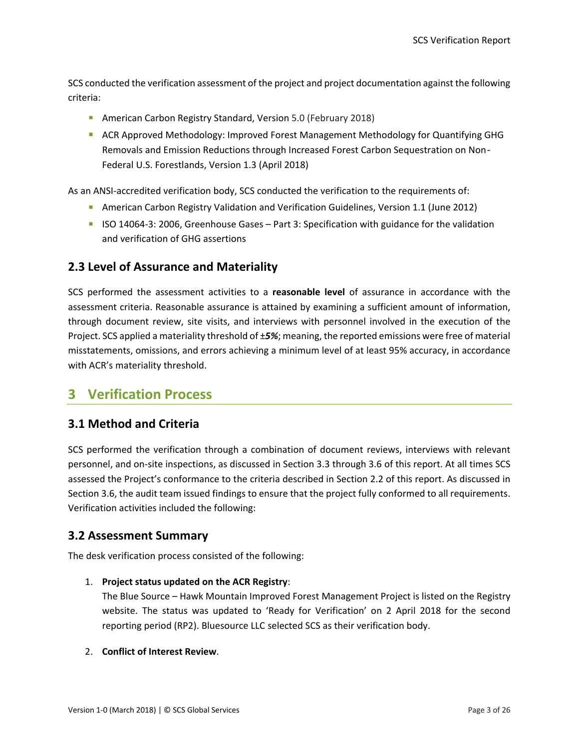SCS conducted the verification assessment of the project and project documentation against the following criteria:

- **American Carbon Registry Standard, Version 5.0 (February 2018)**
- **ACR Approved Methodology: Improved Forest Management Methodology for Quantifying GHG** Removals and Emission Reductions through Increased Forest Carbon Sequestration on Non‐ Federal U.S. Forestlands, Version 1.3 (April 2018)

As an ANSI-accredited verification body, SCS conducted the verification to the requirements of:

- **American Carbon Registry Validation and Verification Guidelines, Version 1.1 (June 2012)**
- ISO 14064-3: 2006, Greenhouse Gases Part 3: Specification with guidance for the validation and verification of GHG assertions

### <span id="page-7-0"></span>**2.3 Level of Assurance and Materiality**

SCS performed the assessment activities to a **reasonable level** of assurance in accordance with the assessment criteria. Reasonable assurance is attained by examining a sufficient amount of information, through document review, site visits, and interviews with personnel involved in the execution of the Project. SCS applied a materiality threshold of ±*5%*; meaning, the reported emissions were free of material misstatements, omissions, and errors achieving a minimum level of at least 95% accuracy, in accordance with ACR's materiality threshold.

# <span id="page-7-1"></span>**3 Verification Process**

### <span id="page-7-2"></span>**3.1 Method and Criteria**

SCS performed the verification through a combination of document reviews, interviews with relevant personnel, and on-site inspections, as discussed in Section 3.3 through 3.6 of this report. At all times SCS assessed the Project's conformance to the criteria described in Section 2.2 of this report. As discussed in Section 3.6, the audit team issued findings to ensure that the project fully conformed to all requirements. Verification activities included the following:

#### <span id="page-7-3"></span>**3.2 Assessment Summary**

The desk verification process consisted of the following:

#### 1. **Project status updated on the ACR Registry**:

The Blue Source – Hawk Mountain Improved Forest Management Project is listed on the Registry website. The status was updated to 'Ready for Verification' on 2 April 2018 for the second reporting period (RP2). Bluesource LLC selected SCS as their verification body.

#### 2. **Conflict of Interest Review**.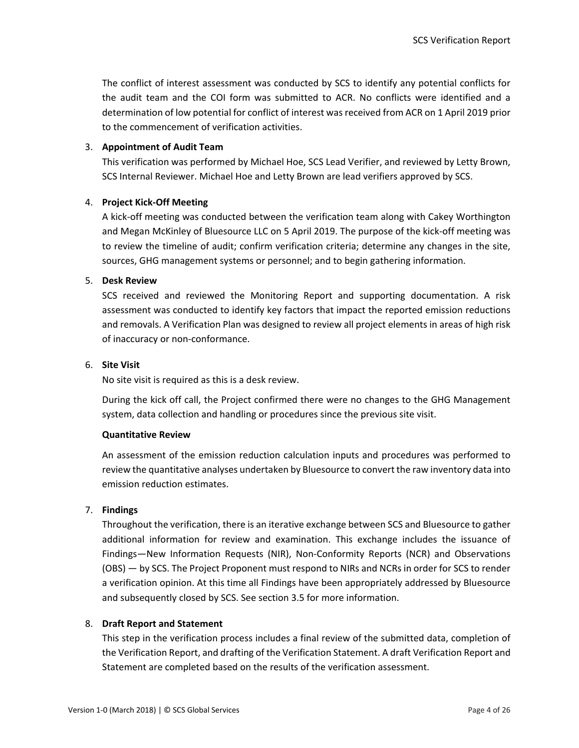The conflict of interest assessment was conducted by SCS to identify any potential conflicts for the audit team and the COI form was submitted to ACR. No conflicts were identified and a determination of low potential for conflict of interest was received from ACR on 1 April 2019 prior to the commencement of verification activities.

#### 3. **Appointment of Audit Team**

This verification was performed by Michael Hoe, SCS Lead Verifier, and reviewed by Letty Brown, SCS Internal Reviewer. Michael Hoe and Letty Brown are lead verifiers approved by SCS.

#### 4. **Project Kick-Off Meeting**

A kick-off meeting was conducted between the verification team along with Cakey Worthington and Megan McKinley of Bluesource LLC on 5 April 2019. The purpose of the kick-off meeting was to review the timeline of audit; confirm verification criteria; determine any changes in the site, sources, GHG management systems or personnel; and to begin gathering information.

#### 5. **Desk Review**

SCS received and reviewed the Monitoring Report and supporting documentation. A risk assessment was conducted to identify key factors that impact the reported emission reductions and removals. A Verification Plan was designed to review all project elements in areas of high risk of inaccuracy or non-conformance.

#### 6. **Site Visit**

No site visit is required as this is a desk review.

During the kick off call, the Project confirmed there were no changes to the GHG Management system, data collection and handling or procedures since the previous site visit.

#### **Quantitative Review**

An assessment of the emission reduction calculation inputs and procedures was performed to review the quantitative analyses undertaken by Bluesource to convert the raw inventory data into emission reduction estimates.

#### 7. **Findings**

Throughout the verification, there is an iterative exchange between SCS and Bluesource to gather additional information for review and examination. This exchange includes the issuance of Findings—New Information Requests (NIR), Non-Conformity Reports (NCR) and Observations (OBS) — by SCS. The Project Proponent must respond to NIRs and NCRs in order for SCS to render a verification opinion. At this time all Findings have been appropriately addressed by Bluesource and subsequently closed by SCS. See section 3.5 for more information.

#### 8. **Draft Report and Statement**

This step in the verification process includes a final review of the submitted data, completion of the Verification Report, and drafting of the Verification Statement. A draft Verification Report and Statement are completed based on the results of the verification assessment.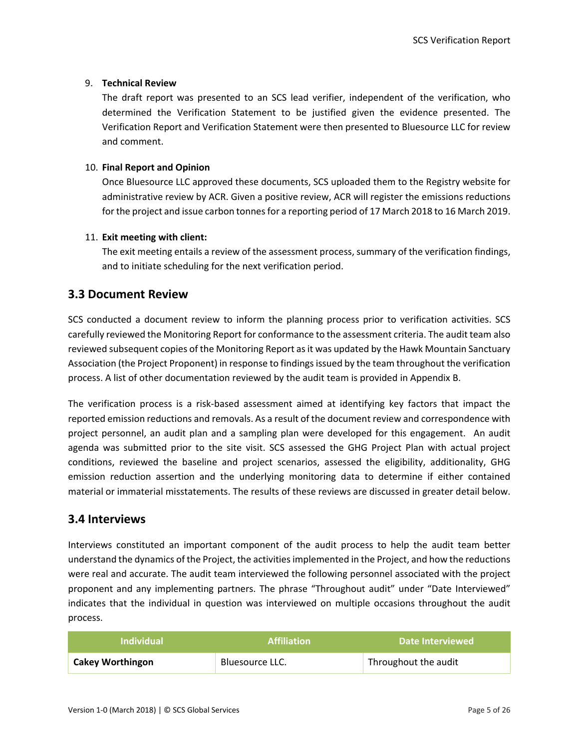#### 9. **Technical Review**

The draft report was presented to an SCS lead verifier, independent of the verification, who determined the Verification Statement to be justified given the evidence presented. The Verification Report and Verification Statement were then presented to Bluesource LLC for review and comment.

#### 10. **Final Report and Opinion**

Once Bluesource LLC approved these documents, SCS uploaded them to the Registry website for administrative review by ACR. Given a positive review, ACR will register the emissions reductions for the project and issue carbon tonnes for a reporting period of 17 March 2018 to 16 March 2019.

#### 11. **Exit meeting with client:**

The exit meeting entails a review of the assessment process, summary of the verification findings, and to initiate scheduling for the next verification period.

### <span id="page-9-0"></span>**3.3 Document Review**

SCS conducted a document review to inform the planning process prior to verification activities. SCS carefully reviewed the Monitoring Report for conformance to the assessment criteria. The audit team also reviewed subsequent copies of the Monitoring Report as it was updated by the Hawk Mountain Sanctuary Association (the Project Proponent) in response to findings issued by the team throughout the verification process. A list of other documentation reviewed by the audit team is provided in Appendix B.

The verification process is a risk-based assessment aimed at identifying key factors that impact the reported emission reductions and removals. As a result of the document review and correspondence with project personnel, an audit plan and a sampling plan were developed for this engagement. An audit agenda was submitted prior to the site visit. SCS assessed the GHG Project Plan with actual project conditions, reviewed the baseline and project scenarios, assessed the eligibility, additionality, GHG emission reduction assertion and the underlying monitoring data to determine if either contained material or immaterial misstatements. The results of these reviews are discussed in greater detail below.

### <span id="page-9-1"></span>**3.4 Interviews**

Interviews constituted an important component of the audit process to help the audit team better understand the dynamics of the Project, the activities implemented in the Project, and how the reductions were real and accurate. The audit team interviewed the following personnel associated with the project proponent and any implementing partners. The phrase "Throughout audit" under "Date Interviewed" indicates that the individual in question was interviewed on multiple occasions throughout the audit process.

| <b>Individual</b>       | <b>Affiliation</b> | Date Interviewed     |
|-------------------------|--------------------|----------------------|
| <b>Cakey Worthingon</b> | Bluesource LLC.    | Throughout the audit |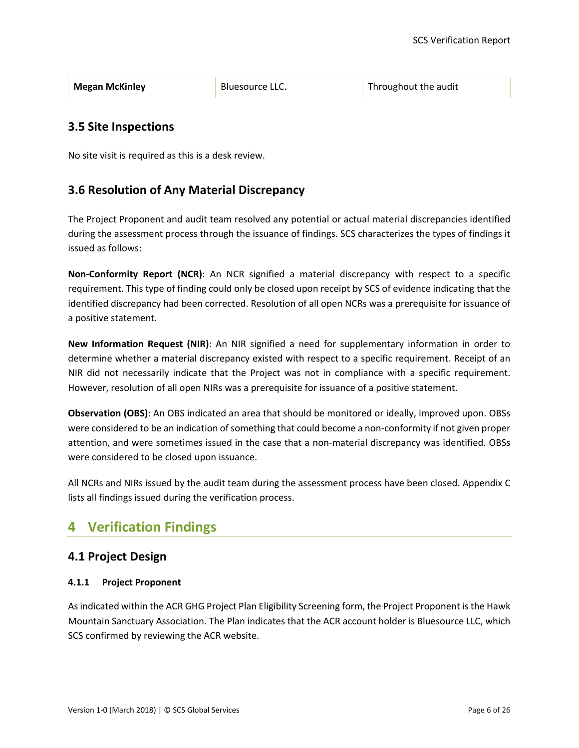| <b>Megan McKinley</b> | Bluesource LLC. | Throughout the audit |
|-----------------------|-----------------|----------------------|
|-----------------------|-----------------|----------------------|

### <span id="page-10-0"></span>**3.5 Site Inspections**

No site visit is required as this is a desk review.

### <span id="page-10-1"></span>**3.6 Resolution of Any Material Discrepancy**

The Project Proponent and audit team resolved any potential or actual material discrepancies identified during the assessment process through the issuance of findings. SCS characterizes the types of findings it issued as follows:

**Non-Conformity Report (NCR)**: An NCR signified a material discrepancy with respect to a specific requirement. This type of finding could only be closed upon receipt by SCS of evidence indicating that the identified discrepancy had been corrected. Resolution of all open NCRs was a prerequisite for issuance of a positive statement.

**New Information Request (NIR)**: An NIR signified a need for supplementary information in order to determine whether a material discrepancy existed with respect to a specific requirement. Receipt of an NIR did not necessarily indicate that the Project was not in compliance with a specific requirement. However, resolution of all open NIRs was a prerequisite for issuance of a positive statement.

**Observation (OBS)**: An OBS indicated an area that should be monitored or ideally, improved upon. OBSs were considered to be an indication of something that could become a non-conformity if not given proper attention, and were sometimes issued in the case that a non-material discrepancy was identified. OBSs were considered to be closed upon issuance.

All NCRs and NIRs issued by the audit team during the assessment process have been closed. Appendix C lists all findings issued during the verification process.

# <span id="page-10-2"></span>**4 Verification Findings**

### <span id="page-10-3"></span>**4.1 Project Design**

#### <span id="page-10-4"></span>**4.1.1 Project Proponent**

As indicated within the ACR GHG Project Plan Eligibility Screening form, the Project Proponent is the Hawk Mountain Sanctuary Association. The Plan indicates that the ACR account holder is Bluesource LLC, which SCS confirmed by reviewing the ACR website.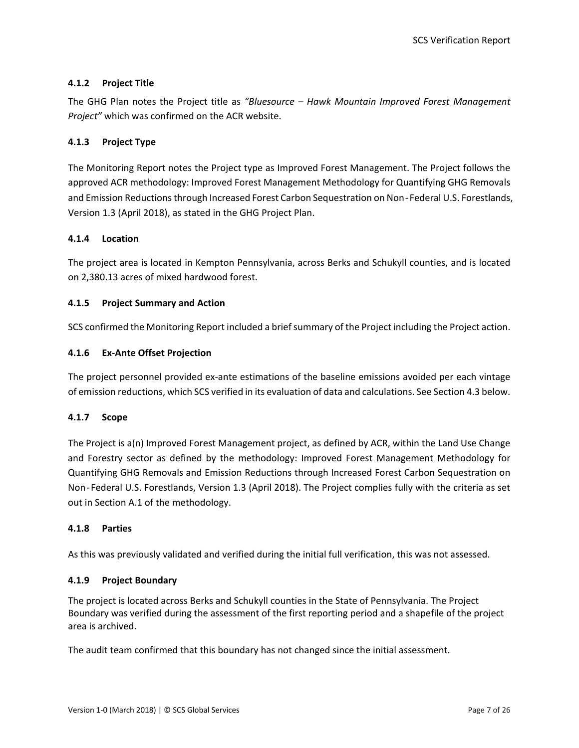#### <span id="page-11-0"></span>**4.1.2 Project Title**

The GHG Plan notes the Project title as *"Bluesource – Hawk Mountain Improved Forest Management Project"* which was confirmed on the ACR website.

#### <span id="page-11-1"></span>**4.1.3 Project Type**

The Monitoring Report notes the Project type as Improved Forest Management. The Project follows the approved ACR methodology: Improved Forest Management Methodology for Quantifying GHG Removals and Emission Reductions through Increased Forest Carbon Sequestration on Non‐Federal U.S. Forestlands, Version 1.3 (April 2018), as stated in the GHG Project Plan.

#### <span id="page-11-2"></span>**4.1.4 Location**

The project area is located in Kempton Pennsylvania, across Berks and Schukyll counties, and is located on 2,380.13 acres of mixed hardwood forest.

#### <span id="page-11-3"></span>**4.1.5 Project Summary and Action**

SCS confirmed the Monitoring Report included a brief summary of the Project including the Project action.

#### <span id="page-11-4"></span>**4.1.6 Ex-Ante Offset Projection**

The project personnel provided ex-ante estimations of the baseline emissions avoided per each vintage of emission reductions, which SCS verified in its evaluation of data and calculations. See Section 4.3 below.

#### <span id="page-11-5"></span>**4.1.7 Scope**

The Project is a(n) Improved Forest Management project, as defined by ACR, within the Land Use Change and Forestry sector as defined by the methodology: Improved Forest Management Methodology for Quantifying GHG Removals and Emission Reductions through Increased Forest Carbon Sequestration on Non‐Federal U.S. Forestlands, Version 1.3 (April 2018). The Project complies fully with the criteria as set out in Section A.1 of the methodology.

#### <span id="page-11-6"></span>**4.1.8 Parties**

As this was previously validated and verified during the initial full verification, this was not assessed.

#### <span id="page-11-7"></span>**4.1.9 Project Boundary**

The project is located across Berks and Schukyll counties in the State of Pennsylvania. The Project Boundary was verified during the assessment of the first reporting period and a shapefile of the project area is archived.

The audit team confirmed that this boundary has not changed since the initial assessment.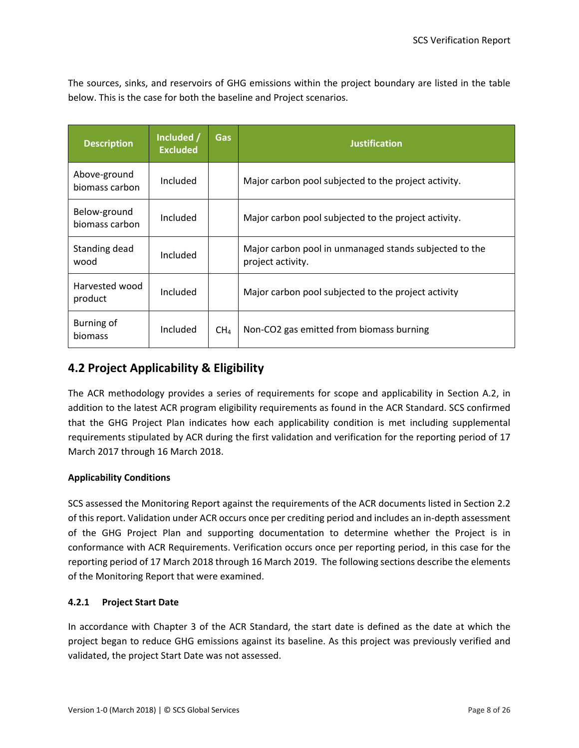The sources, sinks, and reservoirs of GHG emissions within the project boundary are listed in the table below. This is the case for both the baseline and Project scenarios.

| <b>Description</b>             | Included /<br><b>Excluded</b> | Gas             | <b>Justification</b>                                                        |
|--------------------------------|-------------------------------|-----------------|-----------------------------------------------------------------------------|
| Above-ground<br>biomass carbon | Included                      |                 | Major carbon pool subjected to the project activity.                        |
| Below-ground<br>biomass carbon | Included                      |                 | Major carbon pool subjected to the project activity.                        |
| Standing dead<br>wood          | Included                      |                 | Major carbon pool in unmanaged stands subjected to the<br>project activity. |
| Harvested wood<br>product      | Included                      |                 | Major carbon pool subjected to the project activity                         |
| Burning of<br>biomass          | Included                      | CH <sub>4</sub> | Non-CO2 gas emitted from biomass burning                                    |

# <span id="page-12-0"></span>**4.2 Project Applicability & Eligibility**

The ACR methodology provides a series of requirements for scope and applicability in Section A.2, in addition to the latest ACR program eligibility requirements as found in the ACR Standard. SCS confirmed that the GHG Project Plan indicates how each applicability condition is met including supplemental requirements stipulated by ACR during the first validation and verification for the reporting period of 17 March 2017 through 16 March 2018.

#### **Applicability Conditions**

SCS assessed the Monitoring Report against the requirements of the ACR documents listed in Section 2.2 of this report. Validation under ACR occurs once per crediting period and includes an in-depth assessment of the GHG Project Plan and supporting documentation to determine whether the Project is in conformance with ACR Requirements. Verification occurs once per reporting period, in this case for the reporting period of 17 March 2018 through 16 March 2019. The following sections describe the elements of the Monitoring Report that were examined.

#### <span id="page-12-1"></span>**4.2.1 Project Start Date**

In accordance with Chapter 3 of the ACR Standard, the start date is defined as the date at which the project began to reduce GHG emissions against its baseline. As this project was previously verified and validated, the project Start Date was not assessed.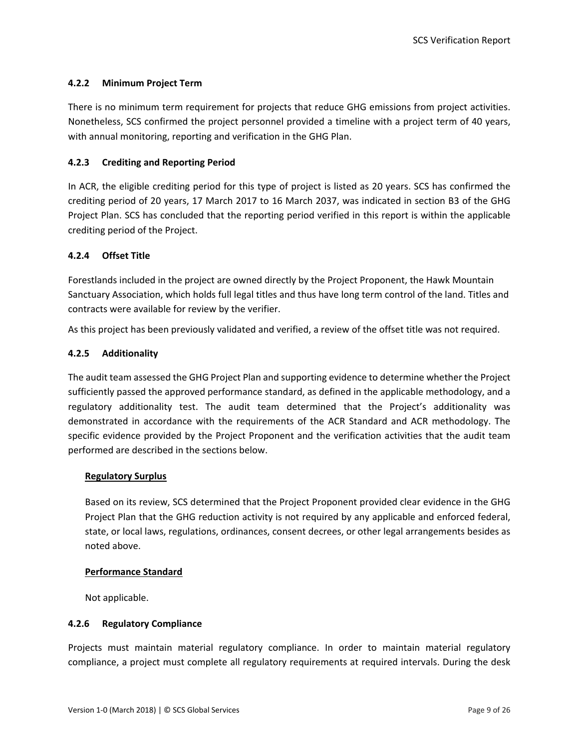#### <span id="page-13-0"></span>**4.2.2 Minimum Project Term**

There is no minimum term requirement for projects that reduce GHG emissions from project activities. Nonetheless, SCS confirmed the project personnel provided a timeline with a project term of 40 years, with annual monitoring, reporting and verification in the GHG Plan.

#### <span id="page-13-1"></span>**4.2.3 Crediting and Reporting Period**

In ACR, the eligible crediting period for this type of project is listed as 20 years. SCS has confirmed the crediting period of 20 years, 17 March 2017 to 16 March 2037, was indicated in section B3 of the GHG Project Plan. SCS has concluded that the reporting period verified in this report is within the applicable crediting period of the Project.

#### <span id="page-13-2"></span>**4.2.4 Offset Title**

Forestlands included in the project are owned directly by the Project Proponent, the Hawk Mountain Sanctuary Association, which holds full legal titles and thus have long term control of the land. Titles and contracts were available for review by the verifier.

<span id="page-13-3"></span>As this project has been previously validated and verified, a review of the offset title was not required.

#### **4.2.5 Additionality**

The audit team assessed the GHG Project Plan and supporting evidence to determine whether the Project sufficiently passed the approved performance standard, as defined in the applicable methodology, and a regulatory additionality test. The audit team determined that the Project's additionality was demonstrated in accordance with the requirements of the ACR Standard and ACR methodology. The specific evidence provided by the Project Proponent and the verification activities that the audit team performed are described in the sections below.

#### **Regulatory Surplus**

Based on its review, SCS determined that the Project Proponent provided clear evidence in the GHG Project Plan that the GHG reduction activity is not required by any applicable and enforced federal, state, or local laws, regulations, ordinances, consent decrees, or other legal arrangements besides as noted above.

#### **Performance Standard**

Not applicable.

#### <span id="page-13-4"></span>**4.2.6 Regulatory Compliance**

Projects must maintain material regulatory compliance. In order to maintain material regulatory compliance, a project must complete all regulatory requirements at required intervals. During the desk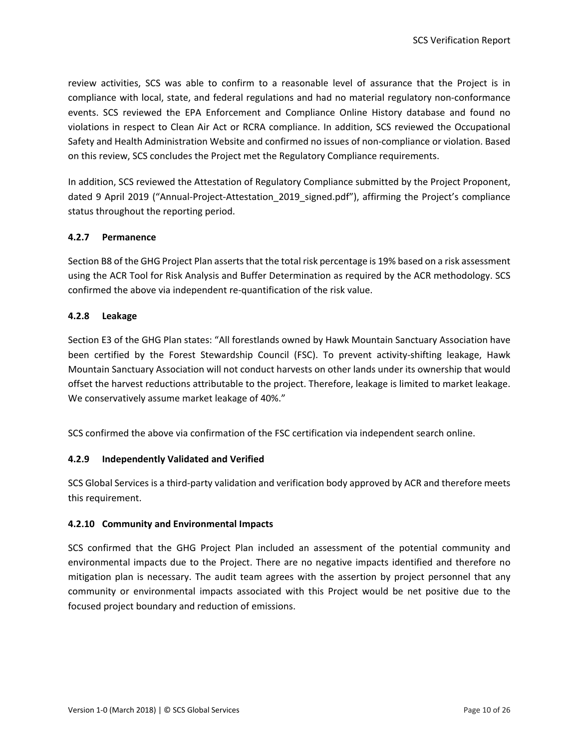review activities, SCS was able to confirm to a reasonable level of assurance that the Project is in compliance with local, state, and federal regulations and had no material regulatory non-conformance events. SCS reviewed the EPA Enforcement and Compliance Online History database and found no violations in respect to Clean Air Act or RCRA compliance. In addition, SCS reviewed the Occupational Safety and Health Administration Website and confirmed no issues of non-compliance or violation. Based on this review, SCS concludes the Project met the Regulatory Compliance requirements.

In addition, SCS reviewed the Attestation of Regulatory Compliance submitted by the Project Proponent, dated 9 April 2019 ("Annual-Project-Attestation 2019 signed.pdf"), affirming the Project's compliance status throughout the reporting period.

#### <span id="page-14-0"></span>**4.2.7 Permanence**

Section B8 of the GHG Project Plan asserts that the total risk percentage is 19% based on a risk assessment using the ACR Tool for Risk Analysis and Buffer Determination as required by the ACR methodology. SCS confirmed the above via independent re-quantification of the risk value.

#### <span id="page-14-1"></span>**4.2.8 Leakage**

Section E3 of the GHG Plan states: "All forestlands owned by Hawk Mountain Sanctuary Association have been certified by the Forest Stewardship Council (FSC). To prevent activity-shifting leakage, Hawk Mountain Sanctuary Association will not conduct harvests on other lands under its ownership that would offset the harvest reductions attributable to the project. Therefore, leakage is limited to market leakage. We conservatively assume market leakage of 40%."

<span id="page-14-2"></span>SCS confirmed the above via confirmation of the FSC certification via independent search online.

#### **4.2.9 Independently Validated and Verified**

SCS Global Services is a third-party validation and verification body approved by ACR and therefore meets this requirement.

#### <span id="page-14-3"></span>**4.2.10 Community and Environmental Impacts**

SCS confirmed that the GHG Project Plan included an assessment of the potential community and environmental impacts due to the Project. There are no negative impacts identified and therefore no mitigation plan is necessary. The audit team agrees with the assertion by project personnel that any community or environmental impacts associated with this Project would be net positive due to the focused project boundary and reduction of emissions.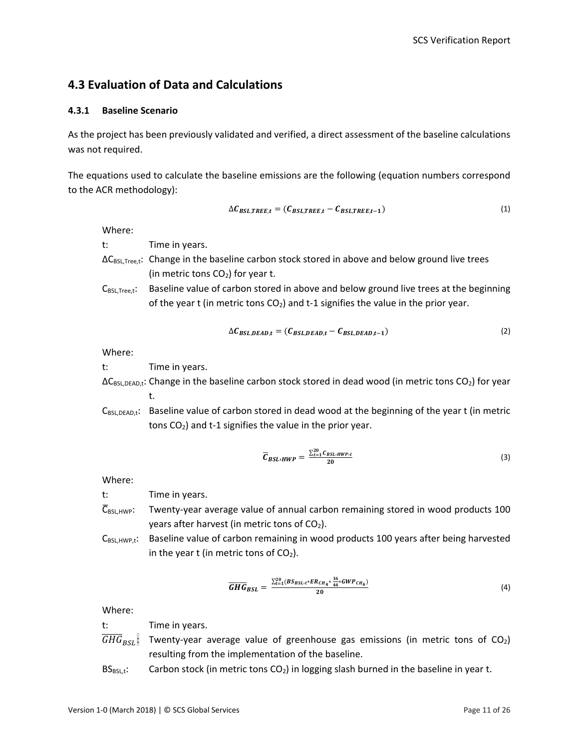# <span id="page-15-0"></span>**4.3 Evaluation of Data and Calculations**

#### <span id="page-15-1"></span>**4.3.1 Baseline Scenario**

As the project has been previously validated and verified, a direct assessment of the baseline calculations was not required.

The equations used to calculate the baseline emissions are the following (equation numbers correspond to the ACR methodology):

$$
\Delta C_{BSL, TREE, t} = (C_{BSL, TREE, t} - C_{BSL, TREE, t-1})
$$
\n(1)

Where:

t: Time in years.

- ΔCBSL,Tree,t: Change in the baseline carbon stock stored in above and below ground live trees (in metric tons  $CO<sub>2</sub>$ ) for year t.
- $C_{BSL,Tree, t}$ : Baseline value of carbon stored in above and below ground live trees at the beginning of the year t (in metric tons  $CO<sub>2</sub>$ ) and t-1 signifies the value in the prior year.

$$
\Delta C_{BSL,DEAD,t} = (C_{BSL,DEAD,t} - C_{BSL,DEAD,t-1})
$$
\n(2)

Where:

t: Time in years.

- $\Delta C_{BSL,DEAD,t}$ : Change in the baseline carbon stock stored in dead wood (in metric tons CO<sub>2</sub>) for year t.
- $C_{BSL,DEAD,t}$ : Baseline value of carbon stored in dead wood at the beginning of the year t (in metric tons  $CO<sub>2</sub>$ ) and t-1 signifies the value in the prior year.

$$
\overline{C}_{BSL\,HWP} = \frac{\sum_{t=1}^{20} C_{BSL\,HWP\cdot t}}{20} \tag{3}
$$

Where:

t: Time in years.

- $\overline{C}_{BSL,HWP}$ : Twenty-year average value of annual carbon remaining stored in wood products 100 years after harvest (in metric tons of CO<sub>2</sub>).
- $C_{BSL,HWP,t}$ : Baseline value of carbon remaining in wood products 100 years after being harvested in the year t (in metric tons of  $CO<sub>2</sub>$ ).

$$
\overline{GHG}_{BSL} = \frac{\sum_{t=1}^{20} (BS_{BSL:t} * ER_{CH4} * \frac{16}{44} * GWP_{CH4})}{20}
$$
(4)

Where:

t: Time in years.

- $GHG_{BSL}$ : Twenty-year average value of greenhouse gas emissions (in metric tons of CO<sub>2</sub>) resulting from the implementation of the baseline.
- $BS_{BSL,t}$ : Carbon stock (in metric tons  $CO<sub>2</sub>$ ) in logging slash burned in the baseline in year t.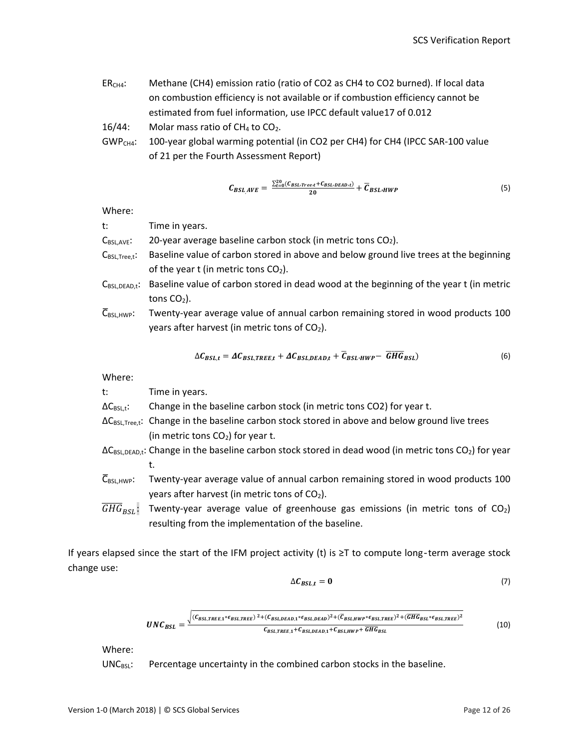ER<sub>CH4</sub>: Methane (CH4) emission ratio (ratio of CO2 as CH4 to CO2 burned). If local data on combustion efficiency is not available or if combustion efficiency cannot be estimated from fuel information, use IPCC default value17 of 0.012

16/44: Molar mass ratio of  $CH<sub>4</sub>$  to  $CO<sub>2</sub>$ .

GWP<sub>CH4</sub>: 100-year global warming potential (in CO2 per CH4) for CH4 (IPCC SAR-100 value of 21 per the Fourth Assessment Report)

$$
C_{BSL,AVE} = \frac{\sum_{t=0}^{20} (C_{BSL:Tree}t + C_{BSL:DEAD:t})}{20} + \overline{C}_{BSL:HWP}
$$
\n
$$
\tag{5}
$$

Where:

| t:                      | Time in years.                                                                         |
|-------------------------|----------------------------------------------------------------------------------------|
| $C_{BSL,AVE}$ :         | 20-year average baseline carbon stock (in metric tons CO2).                            |
| $C_{BSL,Tree, t}$ :     | Baseline value of carbon stored in above and below ground live trees at the beginning  |
|                         | of the year t (in metric tons $CO2$ ).                                                 |
| $C_{\text{BSL.DEAD.t}}$ | Baseline value of carbon stored in dead wood at the beginning of the year t (in metric |
|                         | tons $CO2$ ).                                                                          |

 $\overline{C}_{\text{BSL,HWP}}$ : Twenty-year average value of annual carbon remaining stored in wood products 100 years after harvest (in metric tons of  $CO<sub>2</sub>$ ).

$$
\Delta C_{BSL,t} = \Delta C_{BSL, TREE,t} + \Delta C_{BSL,DEAD,t} + \overline{C}_{BSL\cdot HWP} - \overline{GHG}_{BSL})
$$
(6)

Where:

| t:                                 | Time in years.                                                                                                                     |
|------------------------------------|------------------------------------------------------------------------------------------------------------------------------------|
| $\Delta C_{\text{BSL},\text{t}}$ : | Change in the baseline carbon stock (in metric tons CO2) for year t.                                                               |
|                                    | $\Delta C_{\text{BSLTree},t}$ : Change in the baseline carbon stock stored in above and below ground live trees                    |
|                                    | (in metric tons $CO2$ ) for year t.                                                                                                |
|                                    | $\Delta C_{\text{BSLDEAD,t}}$ : Change in the baseline carbon stock stored in dead wood (in metric tons CO <sub>2</sub> ) for year |
|                                    | t.                                                                                                                                 |
|                                    | $\bar{C}_{BSL,HWP}$ : Twenty-year average value of annual carbon remaining stored in wood products 100                             |
|                                    | years after harvest (in metric tons of $CO2$ ).                                                                                    |
| $\overline{GHG}_{RSL}$ :           | Twenty-year average value of greenhouse gas emissions (in metric tons of $CO2$ )                                                   |
|                                    | resulting from the implementation of the baseline.                                                                                 |

If years elapsed since the start of the IFM project activity (t) is  $\geq$ T to compute long-term average stock change use:

$$
\Delta C_{BSL,t} = 0 \tag{7}
$$

$$
UNC_{BSL} = \frac{\sqrt{(C_{BSL, TREE,1} * \epsilon_{BSL, TREE})^2 + (C_{BSL,DEAD,1} * \epsilon_{BSL,DEAD})^2 + (\overline{C}_{BSL,HWP} * \epsilon_{BSL, TREE})^2 + (\overline{GHG}_{BSL} * \epsilon_{BSL, TREE})^2}}{C_{BSL, TREE,1} + C_{BSL,DEAD,1} + C_{BSL,HWP} + \overline{GHG}_{BSL}} \tag{10}
$$

Where:

UNC<sub>BSL</sub>: Percentage uncertainty in the combined carbon stocks in the baseline.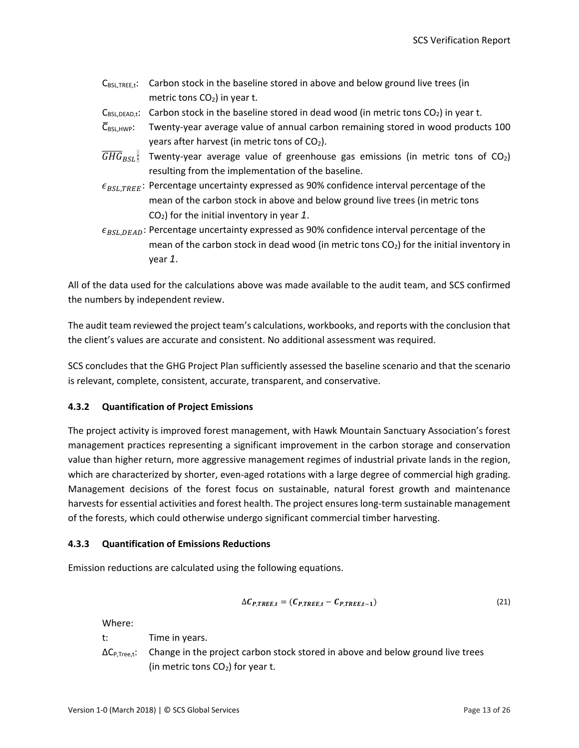| $C_{BSL, TREE,t}$ : Carbon stock in the baseline stored in above and below ground live trees (in                 |
|------------------------------------------------------------------------------------------------------------------|
| metric tons $CO2$ ) in year t.                                                                                   |
| $C_{BSL,DEAD,t}$ : Carbon stock in the baseline stored in dead wood (in metric tons CO <sub>2</sub> ) in year t. |

- $\overline{C}_{BSL,HWP}$ : Twenty-year average value of annual carbon remaining stored in wood products 100 years after harvest (in metric tons of  $CO<sub>2</sub>$ ).
- $GHG_{BSL}$ : Twenty-year average value of greenhouse gas emissions (in metric tons of CO<sub>2</sub>) resulting from the implementation of the baseline.
- $\epsilon_{BSL, TREE}$ : Percentage uncertainty expressed as 90% confidence interval percentage of the mean of the carbon stock in above and below ground live trees (in metric tons CO2) for the initial inventory in year *1*.
- $\epsilon_{BSL, DEAD}$ : Percentage uncertainty expressed as 90% confidence interval percentage of the mean of the carbon stock in dead wood (in metric tons  $CO<sub>2</sub>$ ) for the initial inventory in year *1*.

All of the data used for the calculations above was made available to the audit team, and SCS confirmed the numbers by independent review.

The audit team reviewed the project team's calculations, workbooks, and reports with the conclusion that the client's values are accurate and consistent. No additional assessment was required.

SCS concludes that the GHG Project Plan sufficiently assessed the baseline scenario and that the scenario is relevant, complete, consistent, accurate, transparent, and conservative.

#### <span id="page-17-0"></span>**4.3.2 Quantification of Project Emissions**

The project activity is improved forest management, with Hawk Mountain Sanctuary Association's forest management practices representing a significant improvement in the carbon storage and conservation value than higher return, more aggressive management regimes of industrial private lands in the region, which are characterized by shorter, even-aged rotations with a large degree of commercial high grading. Management decisions of the forest focus on sustainable, natural forest growth and maintenance harvests for essential activities and forest health. The project ensures long-term sustainable management of the forests, which could otherwise undergo significant commercial timber harvesting.

#### <span id="page-17-1"></span>**4.3.3 Quantification of Emissions Reductions**

Emission reductions are calculated using the following equations.

$$
\Delta C_{P, TREE, t} = (C_{P, TREE, t} - C_{P, TREE, t-1})
$$
\n(21)

Where:

t: Time in years.  $\Delta C_{P,Tree, t}$ : Change in the project carbon stock stored in above and below ground live trees (in metric tons  $CO<sub>2</sub>$ ) for year t.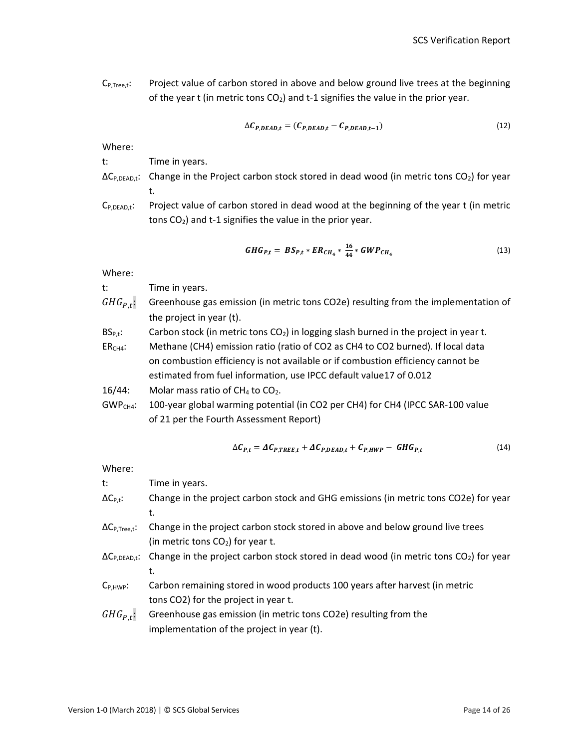$C_{P,Tree, t}$ : Project value of carbon stored in above and below ground live trees at the beginning of the year t (in metric tons  $CO<sub>2</sub>$ ) and t-1 signifies the value in the prior year.

$$
\Delta C_{P,DEAD,t} = (C_{P,DEAD,t} - C_{P,DEAD,t-1})
$$
\n(12)

Where:

t: Time in years.

- $\Delta C_{P,DEAD,t}$ : Change in the Project carbon stock stored in dead wood (in metric tons  $CO<sub>2</sub>$ ) for year t.
- $C_{P,DEAD,t}$ : Project value of carbon stored in dead wood at the beginning of the year t (in metric tons  $CO<sub>2</sub>$ ) and t-1 signifies the value in the prior year.

$$
GHG_{P,t} = BS_{P,t} * ER_{CH_4} * \frac{16}{44} * GWP_{CH_4}
$$
\n(13)

Where:

t: Time in years.

- $GHG_{P.t}$ : Greenhouse gas emission (in metric tons CO2e) resulting from the implementation of the project in year (t).
- $BS_{P,t}:$  Carbon stock (in metric tons  $CO<sub>2</sub>$ ) in logging slash burned in the project in year t.

ER<sub>CH4</sub>: Methane (CH4) emission ratio (ratio of CO2 as CH4 to CO2 burned). If local data on combustion efficiency is not available or if combustion efficiency cannot be estimated from fuel information, use IPCC default value17 of 0.012

16/44: Molar mass ratio of  $CH_4$  to  $CO_2$ .

GWP<sub>CH4</sub>: 100-year global warming potential (in CO2 per CH4) for CH4 (IPCC SAR-100 value of 21 per the Fourth Assessment Report)

$$
\Delta C_{P,t} = \Delta C_{P, TREE,t} + \Delta C_{P,DEAD,t} + C_{P,HWP} - GHG_{P,t}
$$
\n(14)

Where:

| t:                                                            | Time in years.                                                                                                            |
|---------------------------------------------------------------|---------------------------------------------------------------------------------------------------------------------------|
| $\Delta C_{P,t}$ :                                            | Change in the project carbon stock and GHG emissions (in metric tons CO2e) for year                                       |
|                                                               | t.                                                                                                                        |
| $\Delta \mathsf{C}_{\mathsf{P}, \mathsf{Tree}, \mathsf{t}}$ : | Change in the project carbon stock stored in above and below ground live trees                                            |
|                                                               | (in metric tons $CO2$ ) for year t.                                                                                       |
|                                                               | $\Delta C_{P,DEAD,t}$ : Change in the project carbon stock stored in dead wood (in metric tons CO <sub>2</sub> ) for year |
|                                                               | t.                                                                                                                        |
| $C_{P,HWP}$ :                                                 | Carbon remaining stored in wood products 100 years after harvest (in metric                                               |
|                                                               | tons CO2) for the project in year t.                                                                                      |
| $GHG_{P.t}$ :                                                 | Greenhouse gas emission (in metric tons CO2e) resulting from the                                                          |
|                                                               | implementation of the project in year (t).                                                                                |
|                                                               |                                                                                                                           |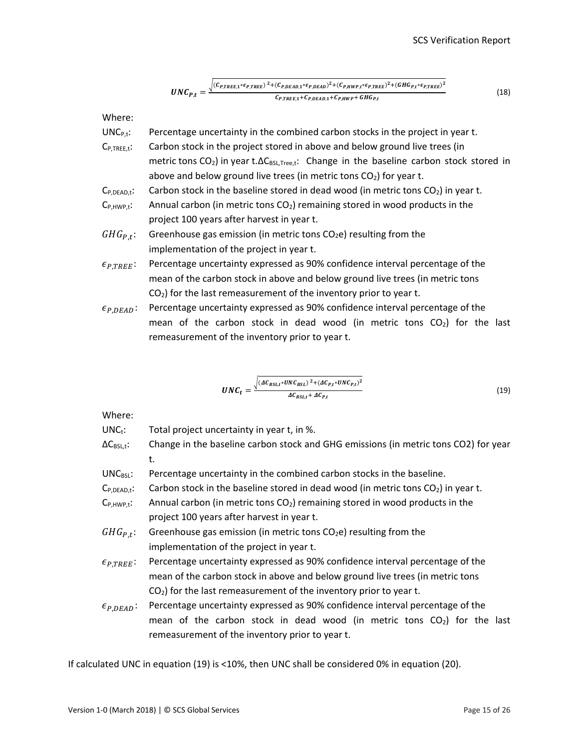$$
UNC_{P,t} = \frac{\sqrt{(C_{P, TREE,1} * \epsilon_{P, TREE})^2 + (C_{P,DEAD,1} * \epsilon_{P,DEAD})^2 + (C_{P,HWP,t} * \epsilon_{P, TREE})^2 + (GHG_{P,t} * \epsilon_{P, TREE})^2}}{C_{P, TREE,1} + C_{P,DEAD,1} + C_{P,HWP} + GHG_{P,t}}
$$
(18)

Where:

- $UNC_{P,t}$ : Percentage uncertainty in the combined carbon stocks in the project in year t.  $C_{P,THEE,t}$ : Carbon stock in the project stored in above and below ground live trees (in metric tons  $CO<sub>2</sub>$ ) in year t. $\Delta C_{BSL,Tree, t}$ : Change in the baseline carbon stock stored in above and below ground live trees (in metric tons  $CO<sub>2</sub>$ ) for year t.
- $C_{P,DEAD,t}$ : Carbon stock in the baseline stored in dead wood (in metric tons  $CO<sub>2</sub>$ ) in year t.
- $C_{P,HWP,t}$ : Annual carbon (in metric tons  $CO<sub>2</sub>$ ) remaining stored in wood products in the project 100 years after harvest in year t.
- $GHG_{P.t}$ : Greenhouse gas emission (in metric tons CO<sub>2</sub>e) resulting from the implementation of the project in year t.
- $\epsilon_{P, TREE}$ : Percentage uncertainty expressed as 90% confidence interval percentage of the mean of the carbon stock in above and below ground live trees (in metric tons  $CO<sub>2</sub>$ ) for the last remeasurement of the inventory prior to year t.
- $\epsilon_{P,DEAD}$ : Percentage uncertainty expressed as 90% confidence interval percentage of the mean of the carbon stock in dead wood (in metric tons  $CO<sub>2</sub>$ ) for the last remeasurement of the inventory prior to year t.

$$
UNC_t = \frac{\sqrt{(AC_{BSL,t}*UNC_{BSL})^2 + (AC_{P,t}*UNC_{P,t})^2}}{AC_{BSL,t} + AC_{P,t}}
$$
\n(19)

Where:

- $UNC_t$ : Total project uncertainty in year t, in %.
- $\Delta C_{BSL,t}$ : Change in the baseline carbon stock and GHG emissions (in metric tons CO2) for year t.
- $UNC_{BSL}:$  Percentage uncertainty in the combined carbon stocks in the baseline.
- $C_{P,DEAD,t}$ : Carbon stock in the baseline stored in dead wood (in metric tons  $CO<sub>2</sub>$ ) in year t.
- $C_{P,HWP,t}$ : Annual carbon (in metric tons  $CO<sub>2</sub>$ ) remaining stored in wood products in the project 100 years after harvest in year t.
- $GHG_{P,t}$ : Greenhouse gas emission (in metric tons CO<sub>2</sub>e) resulting from the implementation of the project in year t.
- $\epsilon_{PTREF}$ : Percentage uncertainty expressed as 90% confidence interval percentage of the mean of the carbon stock in above and below ground live trees (in metric tons  $CO<sub>2</sub>$ ) for the last remeasurement of the inventory prior to year t.
- $\epsilon_{P,DEAD}$ : Percentage uncertainty expressed as 90% confidence interval percentage of the mean of the carbon stock in dead wood (in metric tons  $CO<sub>2</sub>$ ) for the last remeasurement of the inventory prior to year t.

If calculated UNC in equation (19) is <10%, then UNC shall be considered 0% in equation (20).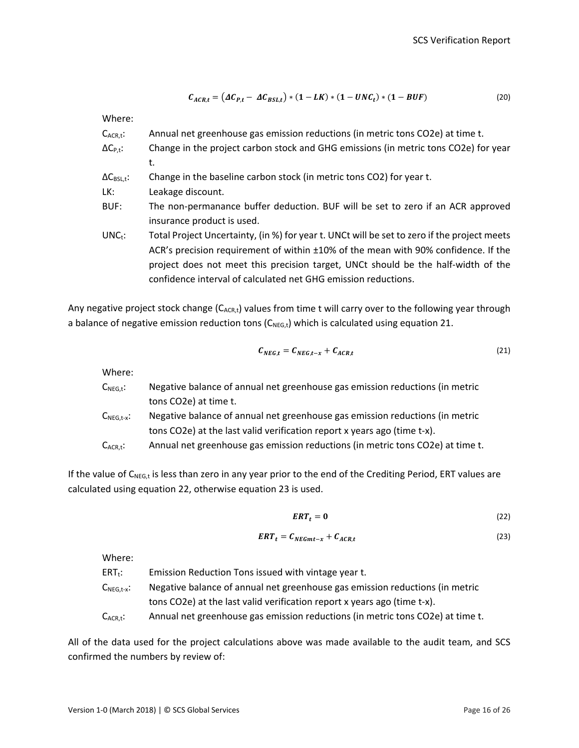$$
\mathcal{C}_{ACR,t} = \left(\Delta \mathcal{C}_{P,t} - \Delta \mathcal{C}_{BSL,t}\right) * (1 - LK) * (1 - UNC_t) * (1 - BUF) \tag{20}
$$

Where:

| $C_{ACR,t}$ :                                  | Annual net greenhouse gas emission reductions (in metric tons CO2e) at time t.              |
|------------------------------------------------|---------------------------------------------------------------------------------------------|
| $\Delta C_{P,t}$ :                             | Change in the project carbon stock and GHG emissions (in metric tons CO2e) for year         |
|                                                | t.                                                                                          |
| $\Delta\mathsf{C}_{\mathsf{BSL},\mathsf{t}}$ : | Change in the baseline carbon stock (in metric tons CO2) for year t.                        |
| LK:                                            | Leakage discount.                                                                           |
| BUF:                                           | The non-permanance buffer deduction. BUF will be set to zero if an ACR approved             |
|                                                | insurance product is used.                                                                  |
| $UNC_t$ :                                      | Total Project Uncertainty, (in %) for year t. UNCt will be set to zero if the project meets |
|                                                | ACR's precision requirement of within ±10% of the mean with 90% confidence. If the          |
|                                                | project does not meet this precision target, UNCt should be the half-width of the           |
|                                                | confidence interval of calculated net GHG emission reductions.                              |
|                                                |                                                                                             |

Any negative project stock change  $(C_{ACR,t})$  values from time t will carry over to the following year through a balance of negative emission reduction tons  $(C_{NEG,t})$  which is calculated using equation 21.

$$
C_{NEG,t} = C_{NEG,t-x} + C_{ACR,t}
$$
\n(21)

Where:

| $\mathsf{C}_{\mathsf{NEG},\mathsf{t}}$ :                   | Negative balance of annual net greenhouse gas emission reductions (in metric   |
|------------------------------------------------------------|--------------------------------------------------------------------------------|
|                                                            | tons CO2e) at time t.                                                          |
| $\mathsf{C}_{\mathsf{NEG},\mathsf{t}\text{-}\mathsf{x}}$ : | Negative balance of annual net greenhouse gas emission reductions (in metric   |
|                                                            | tons CO2e) at the last valid verification report x years ago (time t-x).       |
| $C_{ACR,t}$ :                                              | Annual net greenhouse gas emission reductions (in metric tons CO2e) at time t. |

If the value of  $C_{NEG,t}$  is less than zero in any year prior to the end of the Crediting Period, ERT values are calculated using equation 22, otherwise equation 23 is used.

$$
ERT_t = 0 \tag{22}
$$

$$
ERT_t = C_{NEGmt-x} + C_{ACR,t}
$$
\n(23)

Where:

 $ERT_t:$  Emission Reduction Tons issued with vintage year t.  $C_{NEG,t-x}$ : Negative balance of annual net greenhouse gas emission reductions (in metric tons CO2e) at the last valid verification report x years ago (time t-x).

 $C_{ACR,t}$ : Annual net greenhouse gas emission reductions (in metric tons CO2e) at time t.

All of the data used for the project calculations above was made available to the audit team, and SCS confirmed the numbers by review of: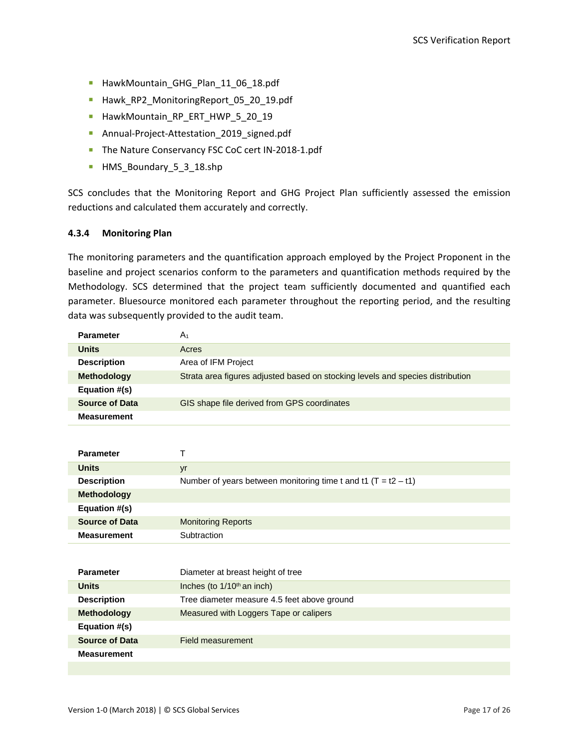- HawkMountain\_GHG\_Plan\_11\_06\_18.pdf
- Hawk\_RP2\_MonitoringReport\_05\_20\_19.pdf
- HawkMountain\_RP\_ERT\_HWP\_5\_20\_19
- Annual-Project-Attestation\_2019\_signed.pdf
- The Nature Conservancy FSC CoC cert IN-2018-1.pdf
- HMS Boundary 5 3 18.shp

SCS concludes that the Monitoring Report and GHG Project Plan sufficiently assessed the emission reductions and calculated them accurately and correctly.

#### <span id="page-21-0"></span>**4.3.4 Monitoring Plan**

The monitoring parameters and the quantification approach employed by the Project Proponent in the baseline and project scenarios conform to the parameters and quantification methods required by the Methodology. SCS determined that the project team sufficiently documented and quantified each parameter. Bluesource monitored each parameter throughout the reporting period, and the resulting data was subsequently provided to the audit team.

<span id="page-21-1"></span>

| <b>Parameter</b>      | A <sub>1</sub>                                                                 |
|-----------------------|--------------------------------------------------------------------------------|
| Units                 | Acres                                                                          |
| <b>Description</b>    | Area of IFM Project                                                            |
| <b>Methodology</b>    | Strata area figures adjusted based on stocking levels and species distribution |
| Equation #(s)         |                                                                                |
| <b>Source of Data</b> | GIS shape file derived from GPS coordinates                                    |
| <b>Measurement</b>    |                                                                                |

| <b>Parameter</b>      |                                                                  |
|-----------------------|------------------------------------------------------------------|
| <b>Units</b>          | yr                                                               |
| <b>Description</b>    | Number of years between monitoring time t and t1 $(T = t2 - t1)$ |
| <b>Methodology</b>    |                                                                  |
| Equation #(s)         |                                                                  |
| <b>Source of Data</b> | <b>Monitoring Reports</b>                                        |
| <b>Measurement</b>    | Subtraction                                                      |

| <b>Parameter</b>      | Diameter at breast height of tree           |
|-----------------------|---------------------------------------------|
| <b>Units</b>          | Inches (to $1/10th$ an inch)                |
| <b>Description</b>    | Tree diameter measure 4.5 feet above ground |
| <b>Methodology</b>    | Measured with Loggers Tape or calipers      |
| Equation #(s)         |                                             |
| <b>Source of Data</b> | Field measurement                           |
| <b>Measurement</b>    |                                             |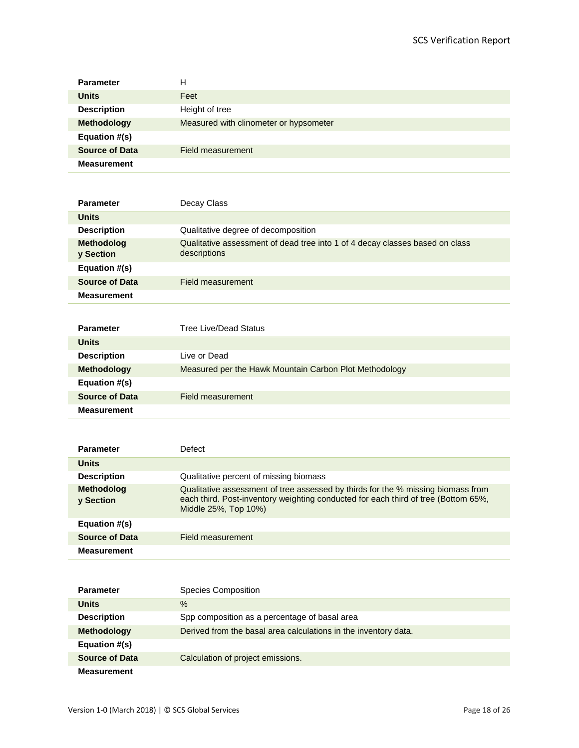| <b>Parameter</b>      | Н                                      |
|-----------------------|----------------------------------------|
| <b>Units</b>          | Feet                                   |
| <b>Description</b>    | Height of tree                         |
| <b>Methodology</b>    | Measured with clinometer or hypsometer |
| Equation #(s)         |                                        |
| <b>Source of Data</b> | Field measurement                      |
| <b>Measurement</b>    |                                        |

| <b>Parameter</b>                      | Decay Class                                                                                  |
|---------------------------------------|----------------------------------------------------------------------------------------------|
| <b>Units</b>                          |                                                                                              |
| <b>Description</b>                    | Qualitative degree of decomposition                                                          |
| <b>Methodolog</b><br><b>v</b> Section | Qualitative assessment of dead tree into 1 of 4 decay classes based on class<br>descriptions |
| Equation #(s)                         |                                                                                              |
| <b>Source of Data</b>                 | Field measurement                                                                            |
| <b>Measurement</b>                    |                                                                                              |

| <b>Parameter</b>      | Tree Live/Dead Status                                  |
|-----------------------|--------------------------------------------------------|
| <b>Units</b>          |                                                        |
| <b>Description</b>    | Live or Dead                                           |
| <b>Methodology</b>    | Measured per the Hawk Mountain Carbon Plot Methodology |
| Equation #(s)         |                                                        |
| <b>Source of Data</b> | Field measurement                                      |
| <b>Measurement</b>    |                                                        |

| <b>Parameter</b>               | Defect                                                                                                                                                                                         |
|--------------------------------|------------------------------------------------------------------------------------------------------------------------------------------------------------------------------------------------|
| <b>Units</b>                   |                                                                                                                                                                                                |
| <b>Description</b>             | Qualitative percent of missing biomass                                                                                                                                                         |
| <b>Methodolog</b><br>y Section | Qualitative assessment of tree assessed by thirds for the % missing biomass from<br>each third. Post-inventory weighting conducted for each third of tree (Bottom 65%,<br>Middle 25%, Top 10%) |
| Equation #(s)                  |                                                                                                                                                                                                |
| <b>Source of Data</b>          | Field measurement                                                                                                                                                                              |
| <b>Measurement</b>             |                                                                                                                                                                                                |

| <b>Parameter</b>      | <b>Species Composition</b>                                      |
|-----------------------|-----------------------------------------------------------------|
| <b>Units</b>          | $\%$                                                            |
| <b>Description</b>    | Spp composition as a percentage of basal area                   |
| <b>Methodology</b>    | Derived from the basal area calculations in the inventory data. |
| Equation #(s)         |                                                                 |
| <b>Source of Data</b> | Calculation of project emissions.                               |
| <b>Measurement</b>    |                                                                 |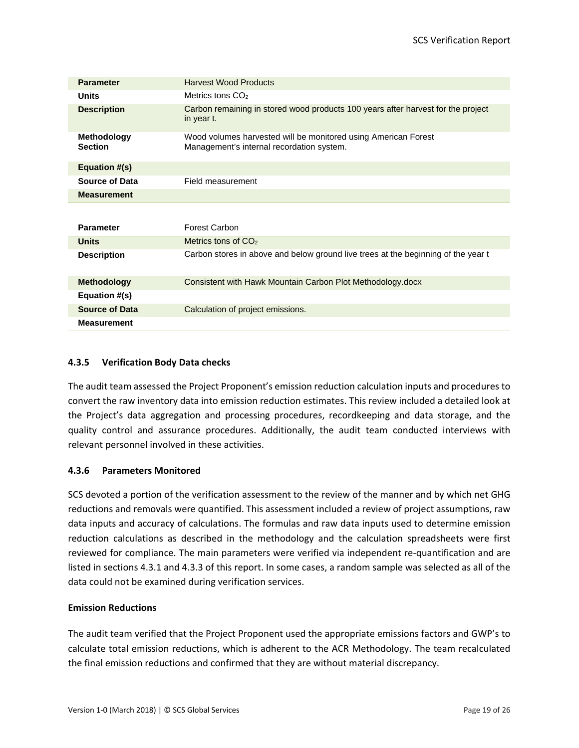| <b>Parameter</b>                     | <b>Harvest Wood Products</b>                                                                                |  |  |
|--------------------------------------|-------------------------------------------------------------------------------------------------------------|--|--|
| <b>Units</b>                         | Metrics tons $CO2$                                                                                          |  |  |
| <b>Description</b>                   | Carbon remaining in stored wood products 100 years after harvest for the project<br>in year t.              |  |  |
| <b>Methodology</b><br><b>Section</b> | Wood volumes harvested will be monitored using American Forest<br>Management's internal recordation system. |  |  |
| Equation #(s)                        |                                                                                                             |  |  |
| <b>Source of Data</b>                | Field measurement                                                                                           |  |  |
| <b>Measurement</b>                   |                                                                                                             |  |  |
|                                      |                                                                                                             |  |  |
| <b>Parameter</b>                     | <b>Forest Carbon</b>                                                                                        |  |  |
| <b>Units</b>                         | Metrics tons of $CO2$                                                                                       |  |  |
| <b>Description</b>                   | Carbon stores in above and below ground live trees at the beginning of the year t                           |  |  |
| <b>Methodology</b>                   | Consistent with Hawk Mountain Carbon Plot Methodology.docx                                                  |  |  |
| Equation #(s)                        |                                                                                                             |  |  |
| <b>Source of Data</b>                | Calculation of project emissions.                                                                           |  |  |
| <b>Measurement</b>                   |                                                                                                             |  |  |

#### **4.3.5 Verification Body Data checks**

The audit team assessed the Project Proponent's emission reduction calculation inputs and procedures to convert the raw inventory data into emission reduction estimates. This review included a detailed look at the Project's data aggregation and processing procedures, recordkeeping and data storage, and the quality control and assurance procedures. Additionally, the audit team conducted interviews with relevant personnel involved in these activities.

#### <span id="page-23-0"></span>**4.3.6 Parameters Monitored**

SCS devoted a portion of the verification assessment to the review of the manner and by which net GHG reductions and removals were quantified. This assessment included a review of project assumptions, raw data inputs and accuracy of calculations. The formulas and raw data inputs used to determine emission reduction calculations as described in the methodology and the calculation spreadsheets were first reviewed for compliance. The main parameters were verified via independent re-quantification and are listed in sections 4.3.1 and 4.3.3 of this report. In some cases, a random sample was selected as all of the data could not be examined during verification services.

#### **Emission Reductions**

The audit team verified that the Project Proponent used the appropriate emissions factors and GWP's to calculate total emission reductions, which is adherent to the ACR Methodology. The team recalculated the final emission reductions and confirmed that they are without material discrepancy.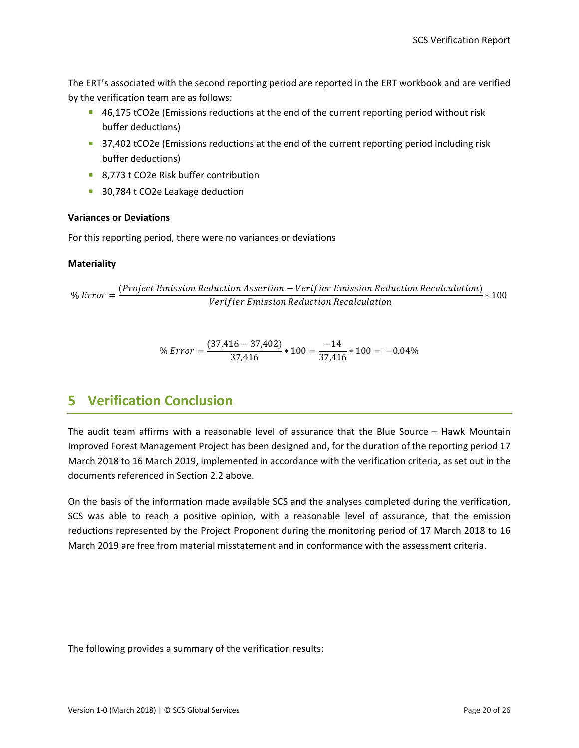The ERT's associated with the second reporting period are reported in the ERT workbook and are verified by the verification team are as follows:

- 46,175 tCO2e (Emissions reductions at the end of the current reporting period without risk buffer deductions)
- 37,402 tCO2e (Emissions reductions at the end of the current reporting period including risk buffer deductions)
- 8,773 t CO2e Risk buffer contribution
- 30,784 t CO2e Leakage deduction

#### **Variances or Deviations**

For this reporting period, there were no variances or deviations

#### **Materiality**

%  $Error = \frac{(Project\ Emission\ Reduction\ Association - Verify\ E\ mission\ Reduction)}{Verify\ error} * 100$ 

% Error = 
$$
\frac{(37,416 - 37,402)}{37,416} * 100 = \frac{-14}{37,416} * 100 = -0.04\%
$$

# **5 Verification Conclusion**

The audit team affirms with a reasonable level of assurance that the Blue Source – Hawk Mountain Improved Forest Management Project has been designed and, for the duration of the reporting period 17 March 2018 to 16 March 2019, implemented in accordance with the verification criteria, as set out in the documents referenced in Section 2.2 above.

On the basis of the information made available SCS and the analyses completed during the verification, SCS was able to reach a positive opinion, with a reasonable level of assurance, that the emission reductions represented by the Project Proponent during the monitoring period of 17 March 2018 to 16 March 2019 are free from material misstatement and in conformance with the assessment criteria.

The following provides a summary of the verification results: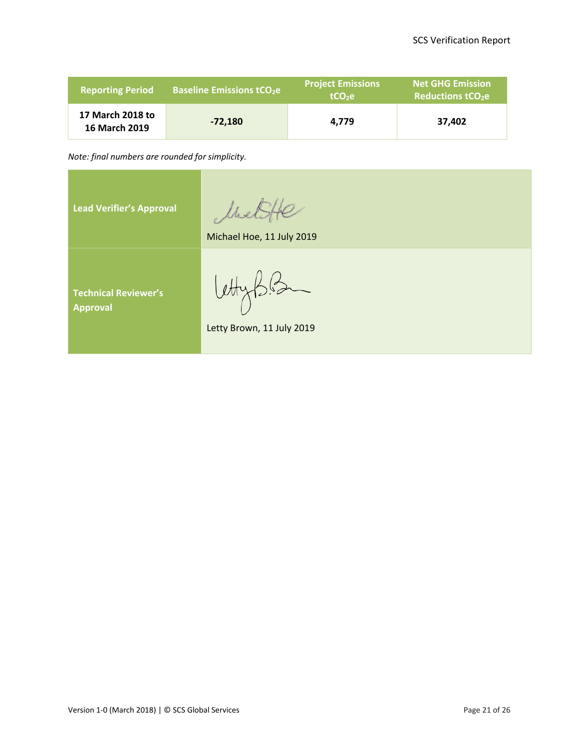| <b>Reporting Period</b>                  | <b>Baseline Emissions tCO<sub>2</sub>e</b> | <b>Project Emissions</b><br>$tCO2$ e | <b>Net GHG Emission</b><br><b>Reductions tCO<sub>2</sub>e</b> |
|------------------------------------------|--------------------------------------------|--------------------------------------|---------------------------------------------------------------|
| 17 March 2018 to<br><b>16 March 2019</b> | $-72,180$                                  | 4.779                                | 37,402                                                        |

*Note: final numbers are rounded for simplicity.*

MetiHe **Lead Verifier's Approval** Michael Hoe, 11 July 2019 **Technical Reviewer's Approval** Letty Brown, 11 July 2019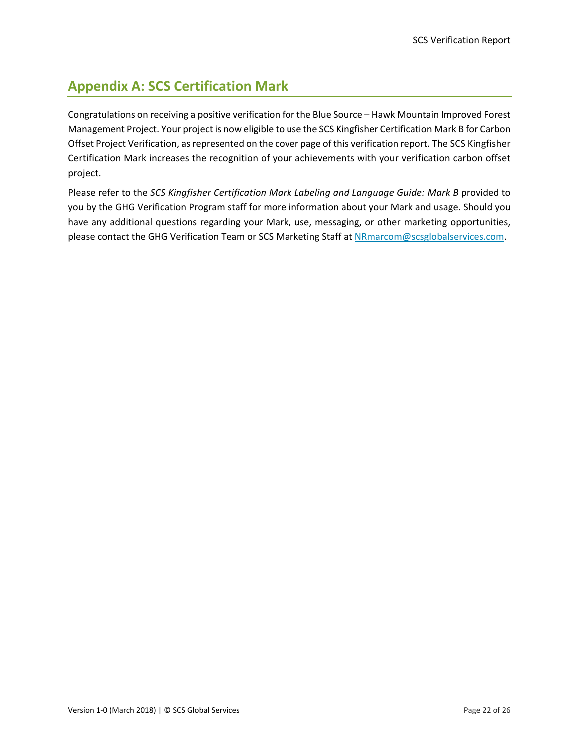# <span id="page-26-0"></span>**Appendix A: SCS Certification Mark**

Congratulations on receiving a positive verification for the Blue Source – Hawk Mountain Improved Forest Management Project. Your project is now eligible to use the SCS Kingfisher Certification Mark B for Carbon Offset Project Verification, as represented on the cover page of this verification report. The SCS Kingfisher Certification Mark increases the recognition of your achievements with your verification carbon offset project.

Please refer to the *SCS Kingfisher Certification Mark Labeling and Language Guide: Mark B* provided to you by the GHG Verification Program staff for more information about your Mark and usage. Should you have any additional questions regarding your Mark, use, messaging, or other marketing opportunities, please contact the GHG Verification Team or SCS Marketing Staff at [NRmarcom@scsglobalservices.com.](mailto:NRmarcom@scsglobalservices.com)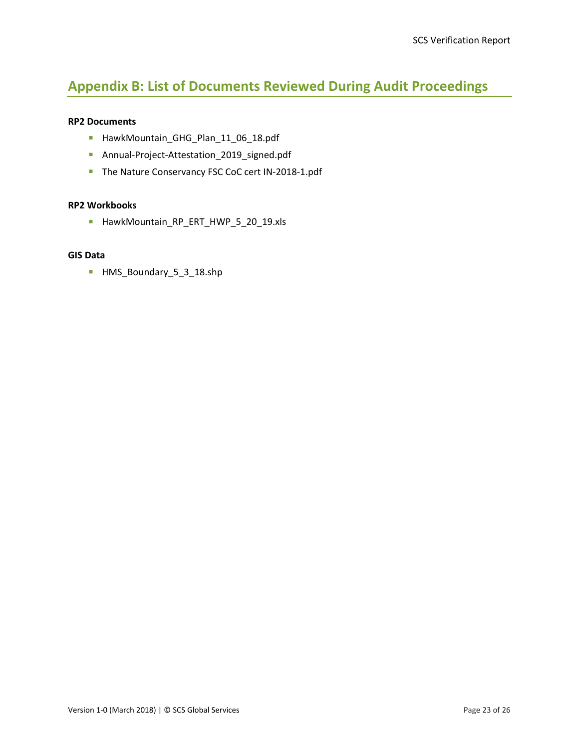# <span id="page-27-0"></span>**Appendix B: List of Documents Reviewed During Audit Proceedings**

#### **RP2 Documents**

- HawkMountain\_GHG\_Plan\_11\_06\_18.pdf
- Annual-Project-Attestation\_2019\_signed.pdf
- The Nature Conservancy FSC CoC cert IN-2018-1.pdf

#### **RP2 Workbooks**

HawkMountain\_RP\_ERT\_HWP\_5\_20\_19.xls

#### **GIS Data**

HMS\_Boundary\_5\_3\_18.shp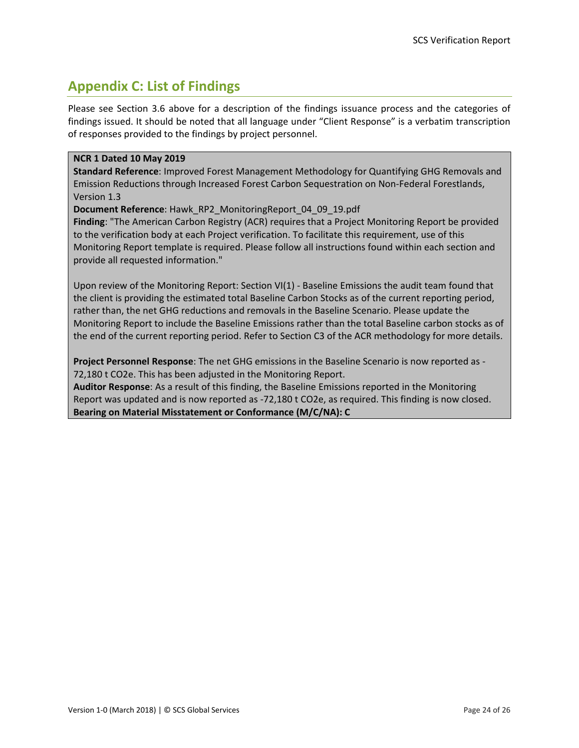# <span id="page-28-0"></span>**Appendix C: List of Findings**

Please see Section 3.6 above for a description of the findings issuance process and the categories of findings issued. It should be noted that all language under "Client Response" is a verbatim transcription of responses provided to the findings by project personnel.

#### **NCR 1 Dated 10 May 2019**

**Standard Reference**: Improved Forest Management Methodology for Quantifying GHG Removals and Emission Reductions through Increased Forest Carbon Sequestration on Non-Federal Forestlands, Version 1.3

**Document Reference**: Hawk\_RP2\_MonitoringReport\_04\_09\_19.pdf

**Finding**: "The American Carbon Registry (ACR) requires that a Project Monitoring Report be provided to the verification body at each Project verification. To facilitate this requirement, use of this Monitoring Report template is required. Please follow all instructions found within each section and provide all requested information."

Upon review of the Monitoring Report: Section VI(1) - Baseline Emissions the audit team found that the client is providing the estimated total Baseline Carbon Stocks as of the current reporting period, rather than, the net GHG reductions and removals in the Baseline Scenario. Please update the Monitoring Report to include the Baseline Emissions rather than the total Baseline carbon stocks as of the end of the current reporting period. Refer to Section C3 of the ACR methodology for more details.

**Project Personnel Response**: The net GHG emissions in the Baseline Scenario is now reported as - 72,180 t CO2e. This has been adjusted in the Monitoring Report.

**Auditor Response**: As a result of this finding, the Baseline Emissions reported in the Monitoring Report was updated and is now reported as -72,180 t CO2e, as required. This finding is now closed. **Bearing on Material Misstatement or Conformance (M/C/NA): C**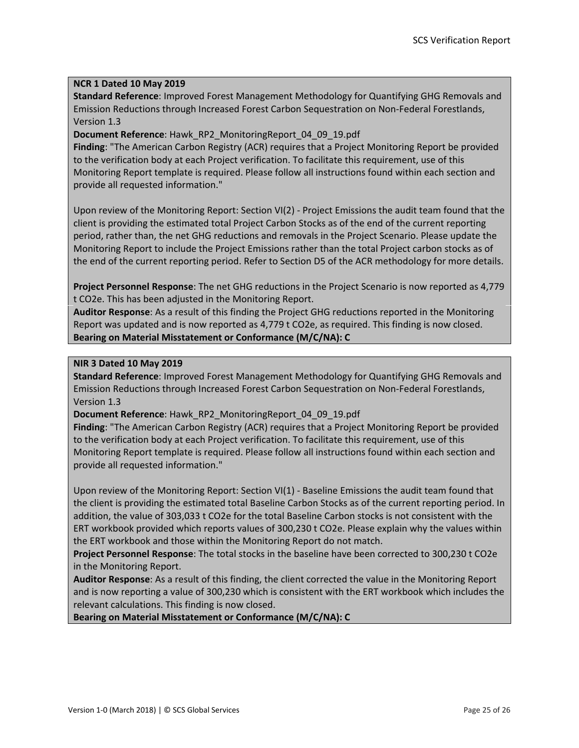#### **NCR 1 Dated 10 May 2019**

**Standard Reference**: Improved Forest Management Methodology for Quantifying GHG Removals and Emission Reductions through Increased Forest Carbon Sequestration on Non-Federal Forestlands, Version 1.3

#### **Document Reference**: Hawk\_RP2\_MonitoringReport\_04\_09\_19.pdf

**Finding**: "The American Carbon Registry (ACR) requires that a Project Monitoring Report be provided to the verification body at each Project verification. To facilitate this requirement, use of this Monitoring Report template is required. Please follow all instructions found within each section and provide all requested information."

Upon review of the Monitoring Report: Section VI(2) - Project Emissions the audit team found that the client is providing the estimated total Project Carbon Stocks as of the end of the current reporting period, rather than, the net GHG reductions and removals in the Project Scenario. Please update the Monitoring Report to include the Project Emissions rather than the total Project carbon stocks as of the end of the current reporting period. Refer to Section D5 of the ACR methodology for more details.

**Project Personnel Response**: The net GHG reductions in the Project Scenario is now reported as 4,779 t CO2e. This has been adjusted in the Monitoring Report.

**Auditor Response**: As a result of this finding the Project GHG reductions reported in the Monitoring Report was updated and is now reported as 4,779 t CO2e, as required. This finding is now closed. **Bearing on Material Misstatement or Conformance (M/C/NA): C**

#### **NIR 3 Dated 10 May 2019**

**Standard Reference**: Improved Forest Management Methodology for Quantifying GHG Removals and Emission Reductions through Increased Forest Carbon Sequestration on Non-Federal Forestlands, Version 1.3

**Document Reference**: Hawk\_RP2\_MonitoringReport\_04\_09\_19.pdf

**Finding**: "The American Carbon Registry (ACR) requires that a Project Monitoring Report be provided to the verification body at each Project verification. To facilitate this requirement, use of this Monitoring Report template is required. Please follow all instructions found within each section and provide all requested information."

Upon review of the Monitoring Report: Section VI(1) - Baseline Emissions the audit team found that the client is providing the estimated total Baseline Carbon Stocks as of the current reporting period. In addition, the value of 303,033 t CO2e for the total Baseline Carbon stocks is not consistent with the ERT workbook provided which reports values of 300,230 t CO2e. Please explain why the values within the ERT workbook and those within the Monitoring Report do not match.

**Project Personnel Response**: The total stocks in the baseline have been corrected to 300,230 t CO2e in the Monitoring Report.

**Auditor Response**: As a result of this finding, the client corrected the value in the Monitoring Report and is now reporting a value of 300,230 which is consistent with the ERT workbook which includes the relevant calculations. This finding is now closed.

**Bearing on Material Misstatement or Conformance (M/C/NA): C**